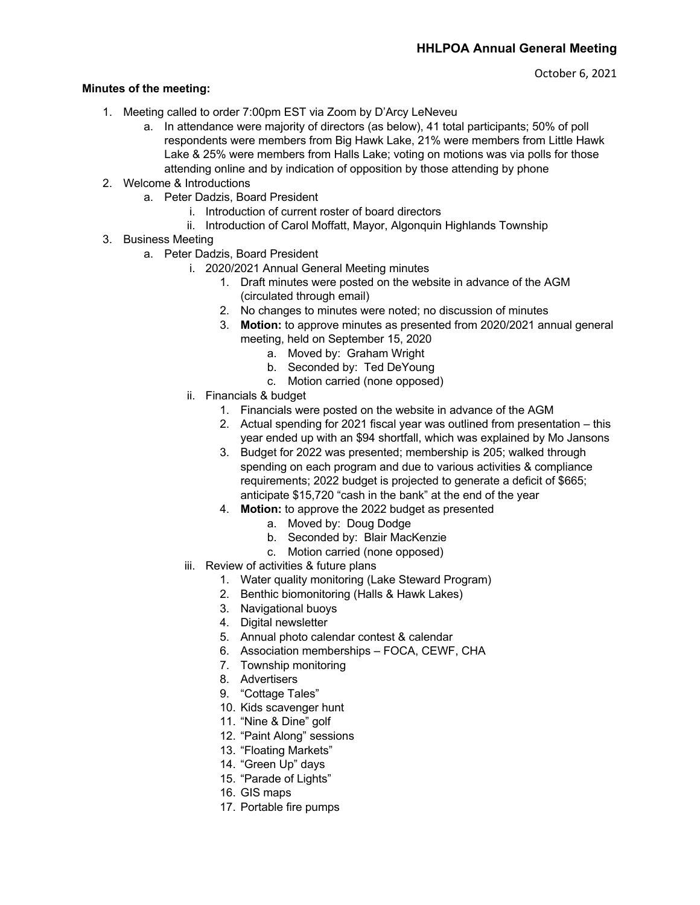## **Minutes of the meeting:**

- 1. Meeting called to order 7:00pm EST via Zoom by D'Arcy LeNeveu
	- a. In attendance were majority of directors (as below), 41 total participants; 50% of poll respondents were members from Big Hawk Lake, 21% were members from Little Hawk Lake & 25% were members from Halls Lake; voting on motions was via polls for those attending online and by indication of opposition by those attending by phone
- 2. Welcome & Introductions
	- a. Peter Dadzis, Board President
		- i. Introduction of current roster of board directors
		- ii. Introduction of Carol Moffatt, Mayor, Algonquin Highlands Township
- 3. Business Meeting
	- a. Peter Dadzis, Board President
		- i. 2020/2021 Annual General Meeting minutes
			- 1. Draft minutes were posted on the website in advance of the AGM (circulated through email)
			- 2. No changes to minutes were noted; no discussion of minutes
			- 3. **Motion:** to approve minutes as presented from 2020/2021 annual general meeting, held on September 15, 2020
				- a. Moved by: Graham Wright
				- b. Seconded by: Ted DeYoung
				- c. Motion carried (none opposed)
		- ii. Financials & budget
			- 1. Financials were posted on the website in advance of the AGM
			- 2. Actual spending for 2021 fiscal year was outlined from presentation this year ended up with an \$94 shortfall, which was explained by Mo Jansons
			- 3. Budget for 2022 was presented; membership is 205; walked through spending on each program and due to various activities & compliance requirements; 2022 budget is projected to generate a deficit of \$665; anticipate \$15,720 "cash in the bank" at the end of the year
			- 4. **Motion:** to approve the 2022 budget as presented
				- a. Moved by: Doug Dodge
				- b. Seconded by: Blair MacKenzie
				- c. Motion carried (none opposed)
		- iii. Review of activities & future plans
			- 1. Water quality monitoring (Lake Steward Program)
			- 2. Benthic biomonitoring (Halls & Hawk Lakes)
			- 3. Navigational buoys
			- 4. Digital newsletter
			- 5. Annual photo calendar contest & calendar
			- 6. Association memberships FOCA, CEWF, CHA
			- 7. Township monitoring
			- 8. Advertisers
			- 9. "Cottage Tales"
			- 10. Kids scavenger hunt
			- 11. "Nine & Dine" golf
			- 12. "Paint Along" sessions
			- 13. "Floating Markets"
			- 14. "Green Up" days
			- 15. "Parade of Lights"
			- 16. GIS maps
			- 17. Portable fire pumps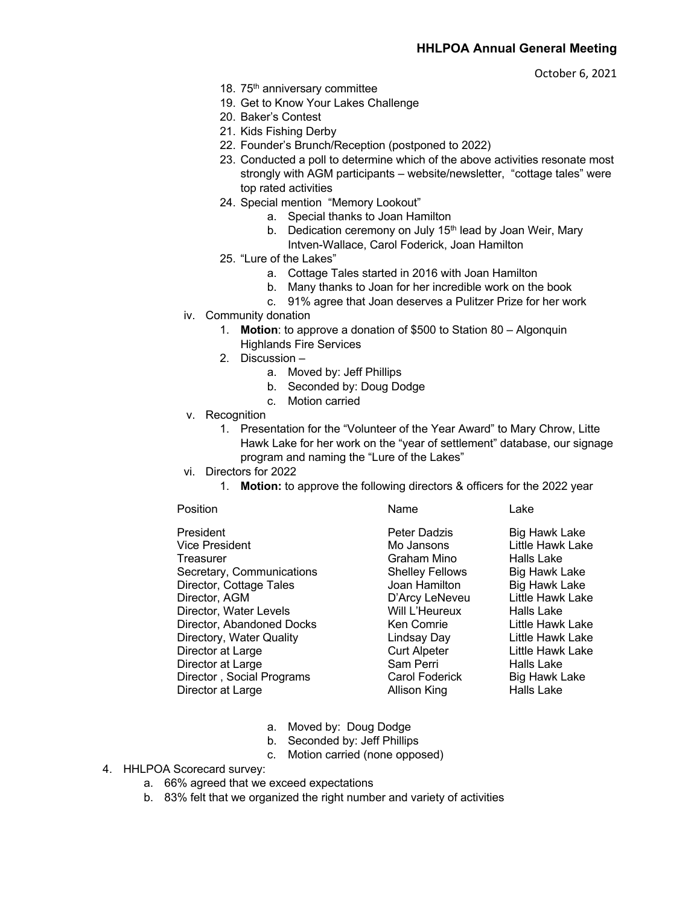October 6, 2021

- 18. 75<sup>th</sup> anniversary committee
- 19. Get to Know Your Lakes Challenge
- 20. Baker's Contest
- 21. Kids Fishing Derby
- 22. Founder's Brunch/Reception (postponed to 2022)
- 23. Conducted a poll to determine which of the above activities resonate most strongly with AGM participants – website/newsletter, "cottage tales" were top rated activities
- 24. Special mention "Memory Lookout"
	- a. Special thanks to Joan Hamilton
	- b. Dedication ceremony on July  $15<sup>th</sup>$  lead by Joan Weir, Mary
	- Intven-Wallace, Carol Foderick, Joan Hamilton
- 25. "Lure of the Lakes"
	- a. Cottage Tales started in 2016 with Joan Hamilton
	- b. Many thanks to Joan for her incredible work on the book
	- c. 91% agree that Joan deserves a Pulitzer Prize for her work
- iv. Community donation
	- 1. **Motion**: to approve a donation of \$500 to Station 80 Algonquin Highlands Fire Services
	- 2. Discussion
		- a. Moved by: Jeff Phillips
		- b. Seconded by: Doug Dodge
		- c. Motion carried
- v. Recognition
	- 1. Presentation for the "Volunteer of the Year Award" to Mary Chrow, Litte Hawk Lake for her work on the "year of settlement" database, our signage program and naming the "Lure of the Lakes"
- vi. Directors for 2022
	- 1. **Motion:** to approve the following directors & officers for the 2022 year

## Position **Name** Lake

President **Peter Dadzis** Big Hawk Lake Vice President Mo Jansons Little Hawk Lake Treasurer Graham Mino Halls Lake<br>1991 - Graham Mino Halls Lake Halls Lake Secretary, Communications Secretary, Communications Director, Cottage Tales Joan Hamilton Big Hawk Lake Director, AGM D'Arcy LeNeveu Little Hawk Lake<br>Director. Water Levels Will L'Heureux Halls Lake Director, Water Levels Will L'Heureux Halls Lake Director, Abandoned Docks Ken Comrie Little Hawk Lake Directory, Water Quality **Lindsay Day** Little Hawk Lake Director at Large The Curt Alpeter Curt Alpeter Little Hawk Lake Director at Large **Sam Perri** Falls Lake Director , Social Programs Carol Foderick Big Hawk Lake Director at Large **Allison King** Halls Lake

- a. Moved by: Doug Dodge
- b. Seconded by: Jeff Phillips
- c. Motion carried (none opposed)

4. HHLPOA Scorecard survey:

- a. 66% agreed that we exceed expectations
- b. 83% felt that we organized the right number and variety of activities